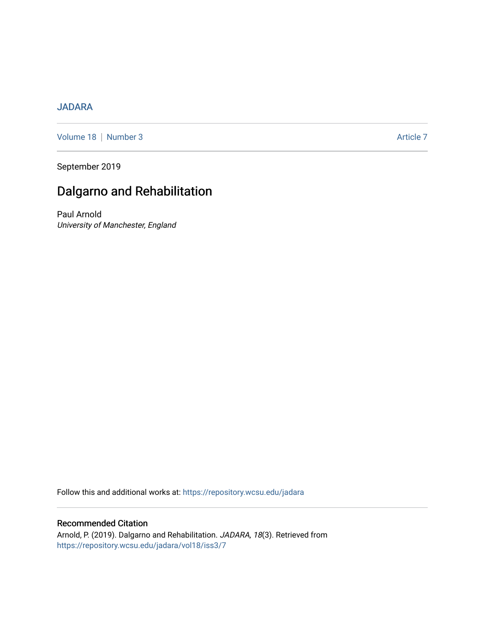# [JADARA](https://repository.wcsu.edu/jadara)

[Volume 18](https://repository.wcsu.edu/jadara/vol18) | [Number 3](https://repository.wcsu.edu/jadara/vol18/iss3) Article 7

September 2019

# Dalgarno and Rehabilitation

Paul Arnold University of Manchester, England

Follow this and additional works at: [https://repository.wcsu.edu/jadara](https://repository.wcsu.edu/jadara?utm_source=repository.wcsu.edu%2Fjadara%2Fvol18%2Fiss3%2F7&utm_medium=PDF&utm_campaign=PDFCoverPages)

Recommended Citation Arnold, P. (2019). Dalgarno and Rehabilitation. JADARA, 18(3). Retrieved from [https://repository.wcsu.edu/jadara/vol18/iss3/7](https://repository.wcsu.edu/jadara/vol18/iss3/7?utm_source=repository.wcsu.edu%2Fjadara%2Fvol18%2Fiss3%2F7&utm_medium=PDF&utm_campaign=PDFCoverPages)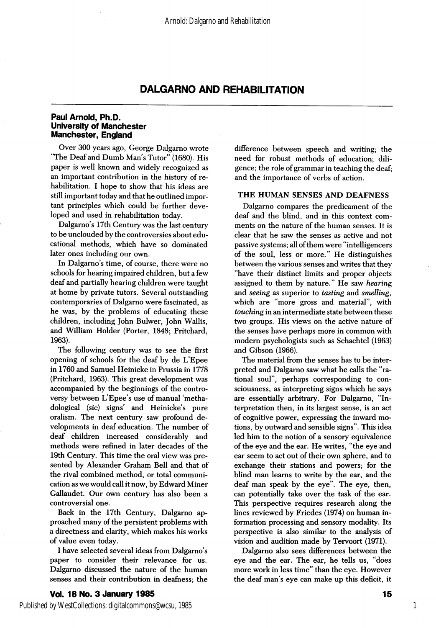# DALGARNO AND REHABILITATION

### Paul Arnold, Ph.D. University of Manchester Manchester, England

Over 300 years ago, George Dalgarno wrote "The Deaf and Dumb Man's Tutor" (1680). His paper is well known and widely recognized as an important contribution in the history of re habilitation. I hope to show that his ideas are still important today and that he outlined impor tant principles which could be further deve loped and used in rehabilitation today.

Dalgarno's 17th Century was the last century to be unclouded by the controversies about edu cational methods, which have so dominated later ones including our own.

In Dalgarno's time, of course, there were no schools for hearing impaired children, but a few deaf and partially hearing children were taught at home by private tutors. Several outstanding contemporaries of Dalgarno were fascinated, as he was, by the problems of educating these children, including John Bulwer, John Wallis, and William Holder (Porter, 1848; Pritchard, 1963).

The following century was to see the first opening of schools for the deaf by de L'Epee in 1760 and Samuel Heinicke in Prussia in 1778 (Pritchard, 1963). This great development was accompanied by the beginnings of the contro versy between L'Epee's use of manual 'methadological (sic) signs' and Heinicke's pure oralism. The next century saw profound de velopments in deaf education. The number of deaf children increased considerably and methods were refined in later decades of the 19th Century. This time the oral view was pre sented by Alexander Graham Bell and that of the rival combined method, or total communi cation as we would call it now, by Edward Miner Gallaudet. Our own century has also been a controversial one.

Back in the 17th Century, Dalgarno ap proached many of the persistent problems with a directness and clarity, which makes his works of value even today.

I have selected several ideas from Dalgarno's paper to consider their relevance for us. Dalgarno discussed the nature of the human senses and their contribution in deafness; the difference between speech and writing; the need for robust methods of education; dili gence; the role of grammar in teaching the deaf; and the importance of verbs of action.

#### THE HUMAN SENSES AND DEAFNESS

Dalgarno compares the predicament of the deaf and the blind, and in this context com ments on the nature of the human senses. It is clear that he saw the senses as active and not passive systems; all of them were "intelligencers of the soul, less or more." He distinguishes between the various senses and writes that they "have their distinct limits and proper objects assigned to them by nature." He saw hearing and seeing as superior to tasting and smelling, which are "more gross and material", with touching in an intermediate state between these two groups. His views on the active nature of the senses have perhaps more in common with modem psychologists such as Schachtel (1963) and Gibson (1966).

The material from the senses has to be inter preted and Dalgarno saw what he calls the "ra tional soul", perhaps corresponding to con sciousness, as interpreting signs which he says are essentially arbitrary. For Dalgarno, "In terpretation then, in its largest sense, is an act of cognitive power, expressing the inward mo tions, by outward and sensible signs". This idea led him to the notion of a sensory equivalence of the eye and the ear. He writes, "the eye and ear seem to act out of their own sphere, and to exchange their stations and powers; for the blind man learns to write by the ear, and the deaf man speak by the eye". The eye, then, can potentially take over the task of the ear. This perspective requires research along the lines reviewed by Friedes (1974) on human in formation processing and sensory modality. Its perspective is also similar to the analysis of vision and audition made by Tervoort (1971).

Dalgarno also sees differences between the eye and the ear. The ear, he tells us, "does more work in less time" than the eye. However the deaf man's eye can make up this deficit, it

1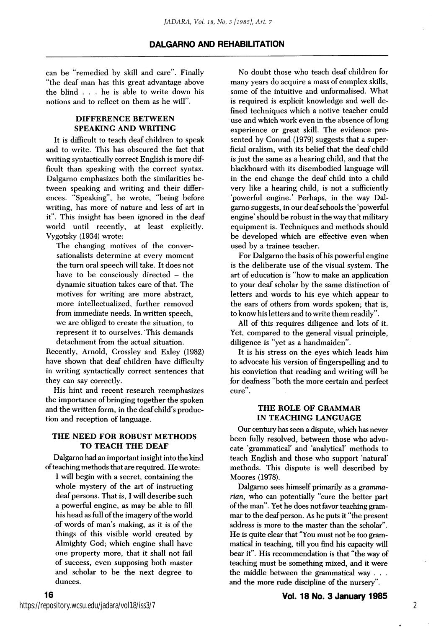can be "remedied by skill and care". Finally "the deaf man has this great advantage above the blind . . . he is able to write down his notions and to reflect on them as he will".

# DIFFERENCE BETWEEN SPEAKING AND WRITING

It is difficult to teach deaf children to speak and to write. This has obscured the fact that writing syntactically correct English is more dif ficult than speaking with the correct syntax. Dalgarno emphasizes both the similarities be tween speaking and writing and their differ ences. "Speaking", he wrote, "being before writing, has more of nature and less of art in it". This insight has been ignored in the deaf world until recently, at least explicitly. Vygotsky (1934) wrote:

The changing motives of the conver sationalists determine at every moment the turn oral speech will take. It does not have to be consciously directed - the dynamic situation takes care of that. The motives for writing are more abstract, more intellectualized, further removed from immediate needs. In written speech, we are obliged to create the situation, to represent it to ourselves. This demands detachment from the actual situation.

Recently, Arnold, Crossley and Exley (1982) have shown that deaf children have difficulty in writing syntactically correct sentences that they can say correctly.

His hint and recent research reemphasizes the importance of bringing together the spoken and the written form, in the deaf child's produc tion and reception of language.

## THE NEED FOR ROBUST METHODS TO TEACH THE DEAF

Dalgamo had an important insight into the kind of teaching methods that are required. He wrote:

I will begin with a secret, containing the whole mystery of the art of instructing deaf persons. That is, I will describe such a powerful engine, as may be able to fill his head as full of the imagery of the world of words of man's making, as it is of the things of this visible world created by Almighty God; which engine shall have one property more, that it shall not fail of success, even supposing both master and scholar to be the next degree to dunces.

No doubt those who teach deaf children for many years do acquire a mass of complex skills, some of the intuitive and unformalised. What is required is explicit knowledge and well de fined techniques which a notive teacher could use and which work even in the absence of long experience or great skill. The evidence pre sented by Conrad (1979) suggests that a super ficial oralism, with its belief that the deaf child is just the same as a hearing child, and that the blackboard with its disembodied language will in the end change the deaf child into a child very like a hearing child, is not a sufficiently 'powerful engine.' Perhaps, in the way Dal garno suggests, in our deaf schools the 'powerful engine' should be robust in the way that military equipment is. Techniques and methods should be developed which are effective even when used by a trainee teacher.

For Dalgamo the basis of his powerful engine is the deliberate use of the visual system. The art of education is "how to make an application to your deaf scholar by the same distinction of letters and words to his eye which appear to the ears of others from words spoken; that is, to know his letters and to write them readily".

All of this requires diligence and lots of it. Yet, compared to the general visual principle, diligence is "yet as a handmaiden".

It is his stress on the eyes which leads him to advocate his version of fingerspelling and to his conviction that reading and writing will be for deafness "both the more certain and perfect cure".

### THE ROLE OF GRAMMAR IN TEACHING LANGUAGE

Our century has seen a dispute, which has never been fully resolved, between those who advo cate 'grammatical' and 'analytical' methods to teach English and those who support 'natural' methods. This dispute is well described by Moores (1978).

Dalgamo sees himself primarily as a gramma rian, who can potentially "cure the better part of the man". Yet he does not favor teaching gram mar to the deaf person. As he puts it "the present address is more to the master than the scholar". He is quite clear that "You must not be too gram matical in teaching, till you find his capacity will bear it". His recommendation is that "the way of teaching must be something mixed, and it were the middle between the grammatical way . . . and the more mde discipline of the nursery".

2